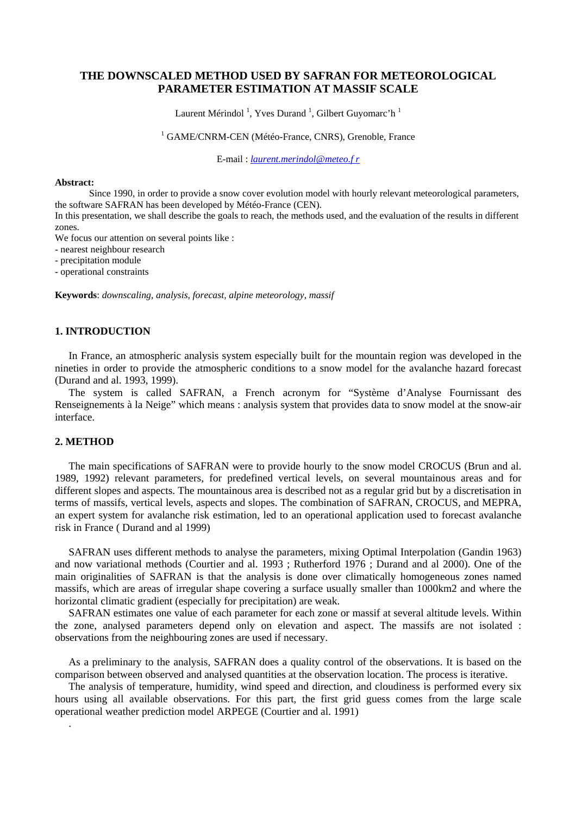# **THE DOWNSCALED METHOD USED BY SAFRAN FOR METEOROLOGICAL PARAMETER ESTIMATION AT MASSIF SCALE**

Laurent Mérindol<sup>1</sup>, Yves Durand<sup>1</sup>, Gilbert Guyomarc'h<sup>1</sup>

## <sup>1</sup> GAME/CNRM-CEN (Météo-France, CNRS), Grenoble, France

E-mail : *[laurent.merindol@meteo.f r](mailto:laurent.merindol@meteo.f%20r)* 

#### **Abstract:**

Since 1990, in order to provide a snow cover evolution model with hourly relevant meteorological parameters, the software SAFRAN has been developed by Météo-France (CEN).

In this presentation, we shall describe the goals to reach, the methods used, and the evaluation of the results in different zones.

We focus our attention on several points like :

- nearest neighbour research

- precipitation module

- operational constraints

**Keywords**: *downscaling, analysis, forecast, alpine meteorology, massif* 

### **1. INTRODUCTION**

In France, an atmospheric analysis system especially built for the mountain region was developed in the nineties in order to provide the atmospheric conditions to a snow model for the avalanche hazard forecast (Durand and al. 1993, 1999).

The system is called SAFRAN, a French acronym for "Système d'Analyse Fournissant des Renseignements à la Neige" which means : analysis system that provides data to snow model at the snow-air interface.

## **2. METHOD**

.

The main specifications of SAFRAN were to provide hourly to the snow model CROCUS (Brun and al. 1989, 1992) relevant parameters, for predefined vertical levels, on several mountainous areas and for different slopes and aspects. The mountainous area is described not as a regular grid but by a discretisation in terms of massifs, vertical levels, aspects and slopes. The combination of SAFRAN, CROCUS, and MEPRA, an expert system for avalanche risk estimation, led to an operational application used to forecast avalanche risk in France ( Durand and al 1999)

SAFRAN uses different methods to analyse the parameters, mixing Optimal Interpolation (Gandin 1963) and now variational methods (Courtier and al. 1993 ; Rutherford 1976 ; Durand and al 2000). One of the main originalities of SAFRAN is that the analysis is done over climatically homogeneous zones named massifs, which are areas of irregular shape covering a surface usually smaller than 1000km2 and where the horizontal climatic gradient (especially for precipitation) are weak.

SAFRAN estimates one value of each parameter for each zone or massif at several altitude levels. Within the zone, analysed parameters depend only on elevation and aspect. The massifs are not isolated : observations from the neighbouring zones are used if necessary.

As a preliminary to the analysis, SAFRAN does a quality control of the observations. It is based on the comparison between observed and analysed quantities at the observation location. The process is iterative.

The analysis of temperature, humidity, wind speed and direction, and cloudiness is performed every six hours using all available observations. For this part, the first grid guess comes from the large scale operational weather prediction model ARPEGE (Courtier and al. 1991)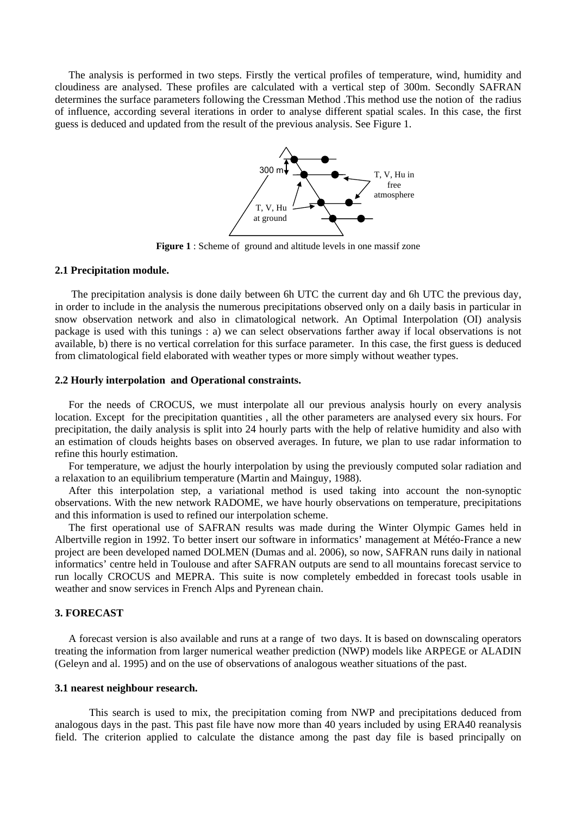The analysis is performed in two steps. Firstly the vertical profiles of temperature, wind, humidity and cloudiness are analysed. These profiles are calculated with a vertical step of 300m. Secondly SAFRAN determines the surface parameters following the Cressman Method .This method use the notion of the radius of influence, according several iterations in order to analyse different spatial scales. In this case, the first guess is deduced and updated from the result of the previous analysis. See Figure 1.



**Figure 1** : Scheme of ground and altitude levels in one massif zone

## **2.1 Precipitation module.**

 The precipitation analysis is done daily between 6h UTC the current day and 6h UTC the previous day, in order to include in the analysis the numerous precipitations observed only on a daily basis in particular in snow observation network and also in climatological network. An Optimal Interpolation (OI) analysis package is used with this tunings : a) we can select observations farther away if local observations is not available, b) there is no vertical correlation for this surface parameter. In this case, the first guess is deduced from climatological field elaborated with weather types or more simply without weather types.

### **2.2 Hourly interpolation and Operational constraints.**

For the needs of CROCUS, we must interpolate all our previous analysis hourly on every analysis location. Except for the precipitation quantities , all the other parameters are analysed every six hours. For precipitation, the daily analysis is split into 24 hourly parts with the help of relative humidity and also with an estimation of clouds heights bases on observed averages. In future, we plan to use radar information to refine this hourly estimation.

For temperature, we adjust the hourly interpolation by using the previously computed solar radiation and a relaxation to an equilibrium temperature (Martin and Mainguy, 1988).

After this interpolation step, a variational method is used taking into account the non-synoptic observations. With the new network RADOME, we have hourly observations on temperature, precipitations and this information is used to refined our interpolation scheme.

The first operational use of SAFRAN results was made during the Winter Olympic Games held in Albertville region in 1992. To better insert our software in informatics' management at Météo-France a new project are been developed named DOLMEN (Dumas and al. 2006), so now, SAFRAN runs daily in national informatics' centre held in Toulouse and after SAFRAN outputs are send to all mountains forecast service to run locally CROCUS and MEPRA. This suite is now completely embedded in forecast tools usable in weather and snow services in French Alps and Pyrenean chain.

# **3. FORECAST**

A forecast version is also available and runs at a range of two days. It is based on downscaling operators treating the information from larger numerical weather prediction (NWP) models like ARPEGE or ALADIN (Geleyn and al. 1995) and on the use of observations of analogous weather situations of the past.

### **3.1 nearest neighbour research.**

This search is used to mix, the precipitation coming from NWP and precipitations deduced from analogous days in the past. This past file have now more than 40 years included by using ERA40 reanalysis field. The criterion applied to calculate the distance among the past day file is based principally on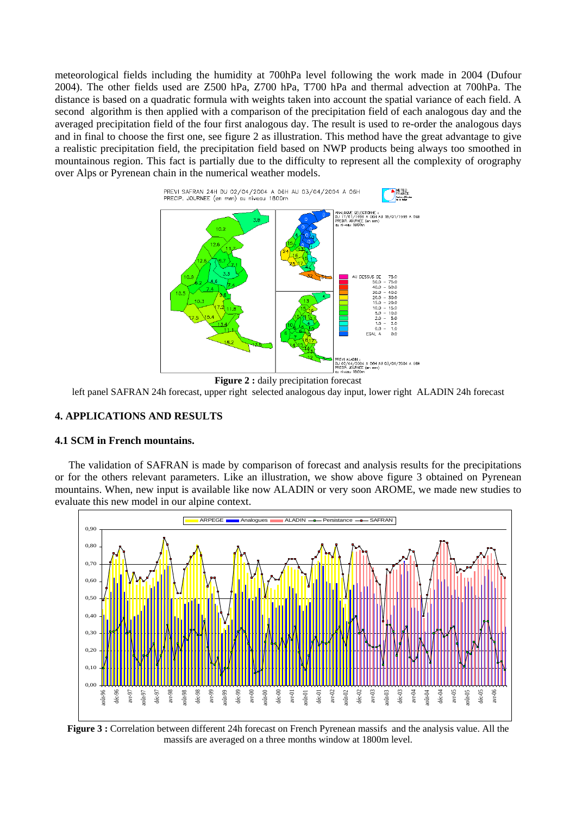meteorological fields including the humidity at 700hPa level following the work made in 2004 (Dufour 2004). The other fields used are Z500 hPa, Z700 hPa, T700 hPa and thermal advection at 700hPa. The distance is based on a quadratic formula with weights taken into account the spatial variance of each field. A second algorithm is then applied with a comparison of the precipitation field of each analogous day and the averaged precipitation field of the four first analogous day. The result is used to re-order the analogous days and in final to choose the first one, see figure 2 as illustration. This method have the great advantage to give a realistic precipitation field, the precipitation field based on NWP products being always too smoothed in mountainous region. This fact is partially due to the difficulty to represent all the complexity of orography over Alps or Pyrenean chain in the numerical weather models.





## **4. APPLICATIONS AND RESULTS**

### **4.1 SCM in French mountains.**

The validation of SAFRAN is made by comparison of forecast and analysis results for the precipitations or for the others relevant parameters. Like an illustration, we show above figure 3 obtained on Pyrenean mountains. When, new input is available like now ALADIN or very soon AROME, we made new studies to evaluate this new model in our alpine context.



**Figure 3 :** Correlation between different 24h forecast on French Pyrenean massifs and the analysis value. All the massifs are averaged on a three months window at 1800m level.